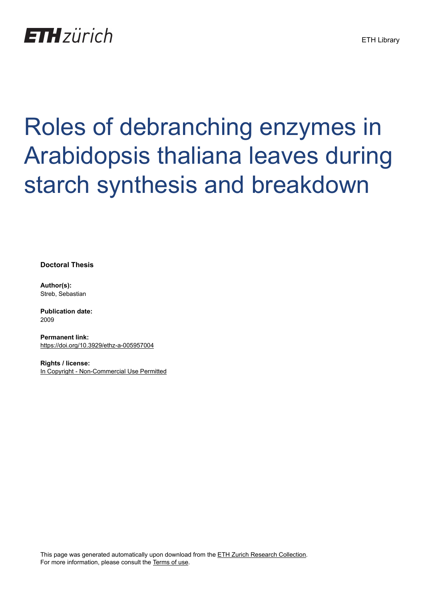

# Roles of debranching enzymes in Arabidopsis thaliana leaves during starch synthesis and breakdown

**Doctoral Thesis**

**Author(s):** Streb, Sebastian

**Publication date:** 2009

**Permanent link:** <https://doi.org/10.3929/ethz-a-005957004>

**Rights / license:** [In Copyright - Non-Commercial Use Permitted](http://rightsstatements.org/page/InC-NC/1.0/)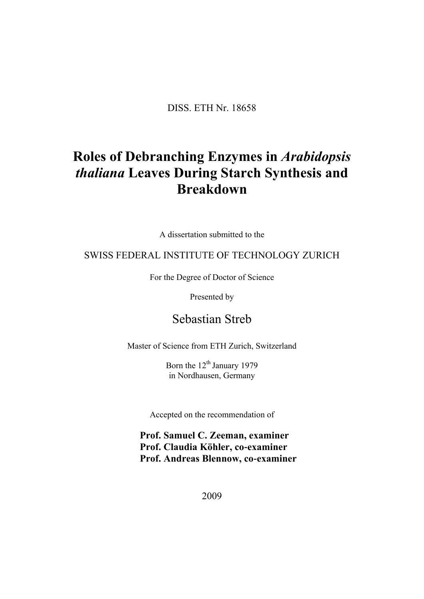DISS. ETH Nr. 18658

## **Roles of Debranching Enzymes in** *Arabidopsis thaliana* **Leaves During Starch Synthesis and Breakdown**

A dissertation submitted to the

## SWISS FEDERAL INSTITUTE OF TECHNOLOGY ZURICH

For the Degree of Doctor of Science

Presented by

## Sebastian Streb

Master of Science from ETH Zurich, Switzerland

Born the 12<sup>th</sup> January 1979 in Nordhausen, Germany

Accepted on the recommendation of

**Prof. Samuel C. Zeeman, examiner Prof. Claudia Köhler, co**‐**examiner Prof. Andreas Blennow, co**‐**examiner** 

2009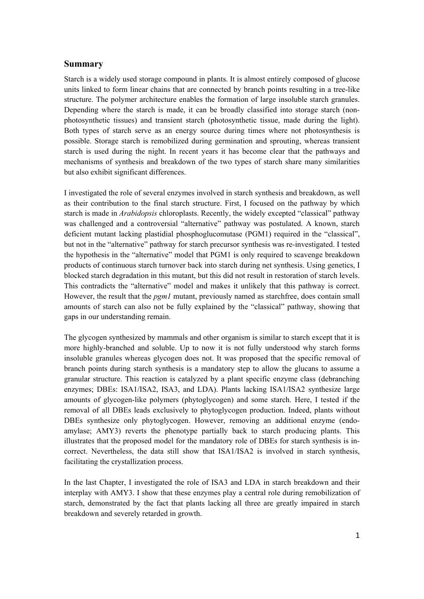### **Summary**

Starch is a widely used storage compound in plants. It is almost entirely composed of glucose units linked to form linear chains that are connected by branch points resulting in a tree-like structure. The polymer architecture enables the formation of large insoluble starch granules. Depending where the starch is made, it can be broadly classified into storage starch (nonphotosynthetic tissues) and transient starch (photosynthetic tissue, made during the light). Both types of starch serve as an energy source during times where not photosynthesis is possible. Storage starch is remobilized during germination and sprouting, whereas transient starch is used during the night. In recent years it has become clear that the pathways and mechanisms of synthesis and breakdown of the two types of starch share many similarities but also exhibit significant differences.

I investigated the role of several enzymes involved in starch synthesis and breakdown, as well as their contribution to the final starch structure. First, I focused on the pathway by which starch is made in *Arabidopsis* chloroplasts. Recently, the widely excepted "classical" pathway was challenged and a controversial "alternative" pathway was postulated. A known, starch deficient mutant lacking plastidial phosphoglucomutase (PGM1) required in the "classical", but not in the "alternative" pathway for starch precursor synthesis was re-investigated. I tested the hypothesis in the "alternative" model that PGM1 is only required to scavenge breakdown products of continuous starch turnover back into starch during net synthesis. Using genetics, I blocked starch degradation in this mutant, but this did not result in restoration of starch levels. This contradicts the "alternative" model and makes it unlikely that this pathway is correct. However, the result that the *pgm1* mutant, previously named as starchfree, does contain small amounts of starch can also not be fully explained by the "classical" pathway, showing that gaps in our understanding remain.

The glycogen synthesized by mammals and other organism is similar to starch except that it is more highly-branched and soluble. Up to now it is not fully understood why starch forms insoluble granules whereas glycogen does not. It was proposed that the specific removal of branch points during starch synthesis is a mandatory step to allow the glucans to assume a granular structure. This reaction is catalyzed by a plant specific enzyme class (debranching enzymes; DBEs: ISA1/ISA2, ISA3, and LDA). Plants lacking ISA1/ISA2 synthesize large amounts of glycogen-like polymers (phytoglycogen) and some starch. Here, I tested if the removal of all DBEs leads exclusively to phytoglycogen production. Indeed, plants without DBEs synthesize only phytoglycogen. However, removing an additional enzyme (endoamylase; AMY3) reverts the phenotype partially back to starch producing plants. This illustrates that the proposed model for the mandatory role of DBEs for starch synthesis is incorrect. Nevertheless, the data still show that ISA1/ISA2 is involved in starch synthesis, facilitating the crystallization process.

In the last Chapter, I investigated the role of ISA3 and LDA in starch breakdown and their interplay with AMY3. I show that these enzymes play a central role during remobilization of starch, demonstrated by the fact that plants lacking all three are greatly impaired in starch breakdown and severely retarded in growth.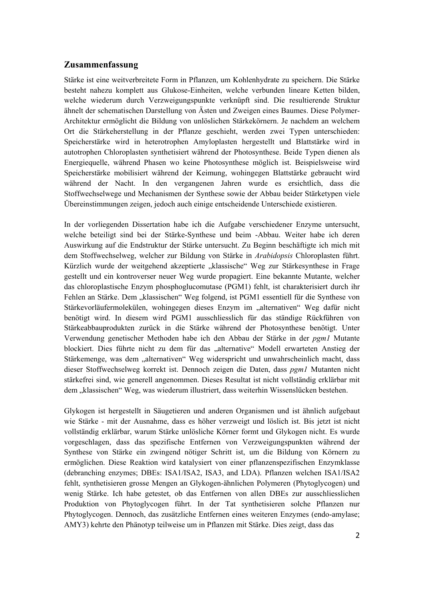### **Zusammenfassung**

Stärke ist eine weitverbreitete Form in Pflanzen, um Kohlenhydrate zu speichern. Die Stärke besteht nahezu komplett aus Glukose-Einheiten, welche verbunden lineare Ketten bilden, welche wiederum durch Verzweigungspunkte verknüpft sind. Die resultierende Struktur ähnelt der schematischen Darstellung von Ästen und Zweigen eines Baumes. Diese Polymer-Architektur ermöglicht die Bildung von unlöslichen Stärkekörnern. Je nachdem an welchem Ort die Stärkeherstellung in der Pflanze geschieht, werden zwei Typen unterschieden: Speicherstärke wird in heterotrophen Amyloplasten hergestellt und Blattstärke wird in autotrophen Chloroplasten synthetisiert während der Photosynthese. Beide Typen dienen als Energiequelle, während Phasen wo keine Photosynthese möglich ist. Beispielsweise wird Speicherstärke mobilisiert während der Keimung, wohingegen Blattstärke gebraucht wird während der Nacht. In den vergangenen Jahren wurde es ersichtlich, dass die Stoffwechselwege und Mechanismen der Synthese sowie der Abbau beider Stärketypen viele Übereinstimmungen zeigen, jedoch auch einige entscheidende Unterschiede existieren.

In der vorliegenden Dissertation habe ich die Aufgabe verschiedener Enzyme untersucht, welche beteiligt sind bei der Stärke-Synthese und beim -Abbau. Weiter habe ich deren Auswirkung auf die Endstruktur der Stärke untersucht. Zu Beginn beschäftigte ich mich mit dem Stoffwechselweg, welcher zur Bildung von Stärke in *Arabidopsis* Chloroplasten führt. Kürzlich wurde der weitgehend akzeptierte "klassische" Weg zur Stärkesynthese in Frage gestellt und ein kontroverser neuer Weg wurde propagiert. Eine bekannte Mutante, welcher das chloroplastische Enzym phosphoglucomutase (PGM1) fehlt, ist charakterisiert durch ihr Fehlen an Stärke. Dem "klassischen" Weg folgend, ist PGM1 essentiell für die Synthese von Stärkevorläufermolekülen, wohingegen dieses Enzym im "alternativen" Weg dafür nicht benötigt wird. In diesem wird PGM1 ausschliesslich für das ständige Rückführen von Stärkeabbauprodukten zurück in die Stärke während der Photosynthese benötigt. Unter Verwendung genetischer Methoden habe ich den Abbau der Stärke in der *pgm1* Mutante blockiert. Dies führte nicht zu dem für das "alternative" Modell erwarteten Anstieg der Stärkemenge, was dem "alternativen" Weg widerspricht und unwahrscheinlich macht, dass dieser Stoffwechselweg korrekt ist. Dennoch zeigen die Daten, dass *pgm1* Mutanten nicht stärkefrei sind, wie generell angenommen. Dieses Resultat ist nicht vollständig erklärbar mit dem "klassischen" Weg, was wiederum illustriert, dass weiterhin Wissenslücken bestehen.

Glykogen ist hergestellt in Säugetieren und anderen Organismen und ist ähnlich aufgebaut wie Stärke - mit der Ausnahme, dass es höher verzweigt und löslich ist. Bis jetzt ist nicht vollständig erklärbar, warum Stärke unlösliche Körner formt und Glykogen nicht. Es wurde vorgeschlagen, dass das spezifische Entfernen von Verzweigungspunkten während der Synthese von Stärke ein zwingend nötiger Schritt ist, um die Bildung von Körnern zu ermöglichen. Diese Reaktion wird katalysiert von einer pflanzenspezifischen Enzymklasse (debranching enzymes; DBEs: ISA1/ISA2, ISA3, and LDA). Pflanzen welchen ISA1/ISA2 fehlt, synthetisieren grosse Mengen an Glykogen-ähnlichen Polymeren (Phytoglycogen) und wenig Stärke. Ich habe getestet, ob das Entfernen von allen DBEs zur ausschliesslichen Produktion von Phytoglycogen führt. In der Tat synthetisieren solche Pflanzen nur Phytoglycogen. Dennoch, das zusätzliche Entfernen eines weiteren Enzymes (endo-amylase; AMY3) kehrte den Phänotyp teilweise um in Pflanzen mit Stärke. Dies zeigt, dass das